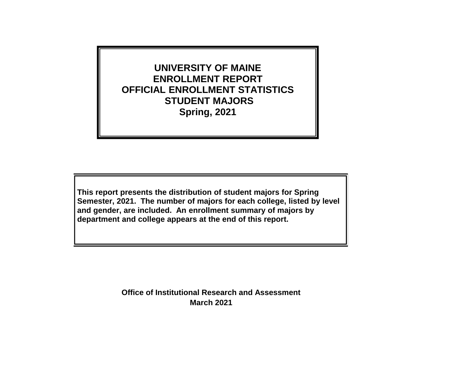**UNIVERSITY OF MAINE ENROLLMENT REPORT OFFICIAL ENROLLMENT STATISTICS STUDENT MAJORS Spring, 2021**

**This report presents the distribution of student majors for Spring Semester, 2021. The number of majors for each college, listed by level and gender, are included. An enrollment summary of majors by department and college appears at the end of this report.**

> **March 2021 Office of Institutional Research and Assessment**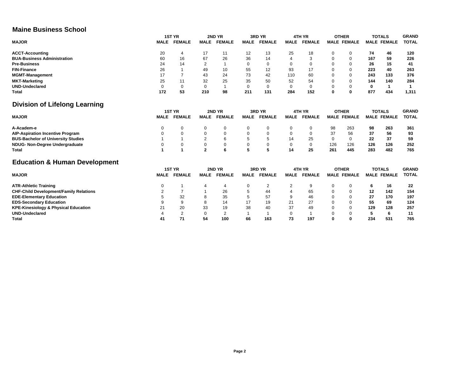### **Maine Business School**

|                                                 |             | <b>1ST YR</b> |              | 2ND YR        |             | 3RD YR        |             | 4TH YR        |          | <b>OTHER</b>       |     | <b>TOTALS</b>      | <b>GRAND</b> |
|-------------------------------------------------|-------------|---------------|--------------|---------------|-------------|---------------|-------------|---------------|----------|--------------------|-----|--------------------|--------------|
| <b>MAJOR</b>                                    | <b>MALE</b> | <b>FEMALE</b> | <b>MALE</b>  | <b>FEMALE</b> | <b>MALE</b> | <b>FEMALE</b> | <b>MALE</b> | <b>FEMALE</b> |          | <b>MALE FEMALE</b> |     | <b>MALE FEMALE</b> | <b>TOTAL</b> |
| <b>ACCT-Accounting</b>                          | 20          | 4             | 17           | 11            | 12          | 13            | 25          | 18            | $\Omega$ | 0                  | 74  | 46                 | 120          |
| <b>BUA-Business Administration</b>              | 60          | 16            | 67           | 26            | 36          | 14            |             | 3             | $\Omega$ | $\mathbf 0$        | 167 | 59                 | 226          |
| <b>Pre-Business</b>                             | 24          | 14            | 2            |               | $\Omega$    | $\mathbf 0$   | $\Omega$    | 0             | $\Omega$ | $\mathbf 0$        | 26  | 15                 | 41           |
| <b>FIN-Finance</b>                              | 26          |               | 49           | 10            | 55          | 12            | 93          | 17            | $\Omega$ | 0                  | 223 | 40                 | 263          |
| <b>MGMT-Management</b>                          | 17          |               | 43           | 24            | 73          | 42            | 110         | 60            | $\Omega$ | $\Omega$           | 243 | 133                | 376          |
| <b>MKT-Marketing</b>                            | 25          | 11            | 32           | 25            | 35          | 50            | 52          | 54            | $\Omega$ | $\Omega$           | 144 | 140                | 284          |
| <b>UND-Undeclared</b>                           | 0           | 0             | 0            |               | 0           | $\mathbf 0$   | $\mathbf 0$ | 0             | 0        | 0                  | 0   | 1                  |              |
| Total                                           | 172         | 53            | 210          | 98            | 211         | 131           | 284         | 152           | $\bf{0}$ | $\mathbf 0$        | 877 | 434                | 1,311        |
| <b>Division of Lifelong Learning</b>            |             |               |              |               |             |               |             |               |          |                    |     |                    |              |
|                                                 |             | 1ST YR        |              | 2ND YR        |             | 3RD YR        |             | 4TH YR        |          | <b>OTHER</b>       |     | <b>TOTALS</b>      | <b>GRAND</b> |
| <b>MAJOR</b>                                    | <b>MALE</b> | <b>FEMALE</b> | <b>MALE</b>  | <b>FEMALE</b> | <b>MALE</b> | <b>FEMALE</b> | <b>MALE</b> | <b>FEMALE</b> |          | <b>MALE FEMALE</b> |     | <b>MALE FEMALE</b> | <b>TOTAL</b> |
| A-Academ-e                                      |             | 0             | 0            | $\Omega$      | 0           | 0             | 0           | 0             | 98       | 263                | 98  | 263                | 361          |
| <b>AIP-Aspiration Incentive Program</b>         |             |               | $\Omega$     |               | $\Omega$    | $\Omega$      |             | 0             | 37       | 56                 | 37  | 56                 | 93           |
| <b>BUS-Bachelor of University Studies</b>       |             |               | 2            | 6             | 5           | 5             | 14          | 25            | $\Omega$ | $\mathbf 0$        | 22  | 37                 | 59           |
| <b>NDUG- Non-Degree Undergraduate</b>           |             |               | 0            | $\Omega$      | $\mathbf 0$ | $\Omega$      | 0           | 0             | 126      | 126                | 126 | 126                | 252          |
| <b>Total</b>                                    |             |               | $\mathbf{2}$ | 6             | 5           | 5             | 14          | 25            | 261      | 445                | 283 | 482                | 765          |
| <b>Education &amp; Human Development</b>        |             |               |              |               |             |               |             |               |          |                    |     |                    |              |
|                                                 |             | <b>1ST YR</b> |              | 2ND YR        |             | 3RD YR        |             | 4TH YR        |          | <b>OTHER</b>       |     | <b>TOTALS</b>      | <b>GRAND</b> |
| <b>MAJOR</b>                                    | <b>MALE</b> | <b>FEMALE</b> | <b>MALE</b>  | <b>FEMALE</b> | <b>MALE</b> | <b>FEMALE</b> | <b>MALE</b> | <b>FEMALE</b> |          | <b>MALE FEMALE</b> |     | <b>MALE FEMALE</b> | <b>TOTAL</b> |
| <b>ATR-Athletic Training</b>                    | 0           |               |              | 4             | 0           | 2             | 2           | 9             | 0        | 0                  | 6   | 16                 | 22           |
| <b>CHF-Child Development/Family Relations</b>   |             |               |              | 26            | 5           | 44            |             | 65            | $\Omega$ | $\mathbf 0$        | 12  | 142                | 154          |
| <b>EDE-Elementary Education</b>                 |             | 32            |              | 35            | 5           | 57            | 9           | 46            | $\Omega$ | 0                  | 27  | 170                | 197          |
| <b>EDS-Secondary Education</b>                  | 9           | 9             |              | 14            | 17          | 19            | 21          | 27            | $\Omega$ | 0                  | 55  | 69                 | 124          |
| <b>KPE-Kinesiology &amp; Physical Education</b> | 21          | 20            | 33           | 19            | 38          | 40            | 37          | 49            | $\Omega$ | 0                  | 129 | 128                | 257          |

**UND-Undeclared** 4 2 0 2 1 1 0 1 0 0 **5 6 11 Total 41 71 54 100 66 163 73 197 0 0 234 531 765**

**KPE-Kinesiology & Physical Education** 21 20 33 19 38 40 37 49 0 0 **129 128 257**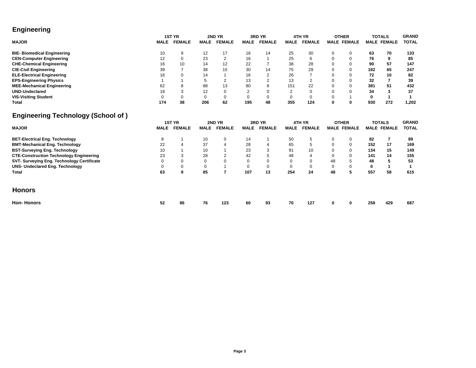### **Engineering**

|                                                                                              |             | 1ST YR        |             | 2ND YR         |             | 3RD YR         |             | 4TH YR        |          | <b>OTHER</b>       |     | <b>TOTALS</b>      | <b>GRAND</b> |
|----------------------------------------------------------------------------------------------|-------------|---------------|-------------|----------------|-------------|----------------|-------------|---------------|----------|--------------------|-----|--------------------|--------------|
| <b>MAJOR</b>                                                                                 | <b>MALE</b> | <b>FEMALE</b> | <b>MALE</b> | <b>FEMALE</b>  | <b>MALE</b> | <b>FEMALE</b>  | <b>MALE</b> | <b>FEMALE</b> |          | <b>MALE FEMALE</b> |     | <b>MALE FEMALE</b> | <b>TOTAL</b> |
| <b>BIE- Biomedical Engineering</b>                                                           | 10          | 9             | 12          | 17             | 16          | 14             | 25          | 30            | 0        | 0                  | 63  | 70                 | 133          |
| <b>CEN-Computer Engineering</b>                                                              | 12          |               | 23          | $\overline{2}$ | 16          |                | 25          | 6             | 0        | $\mathbf 0$        | 76  | 9                  | 85           |
| <b>CHE-Chemical Engineering</b>                                                              | 16          | 10            | 14          | 12             | 22          |                | 38          | 28            |          | $\mathbf 0$        | 90  | 57                 | 147          |
| <b>CIE-Civil Engineering</b>                                                                 | 39          |               | 38          | 15             | 30          | 14             | 75          | 29            | ი        | $\mathbf 0$        | 182 | 65                 | 247          |
| <b>ELE-Electrical Engineering</b>                                                            | 16          |               | 14          |                | 16          | $\overline{2}$ | 26          |               | ი        | $\mathbf 0$        | 72  | 10                 | 82           |
| <b>EPS-Engineering Physics</b>                                                               |             |               |             | $\overline{2}$ | 13          | $\mathfrak{p}$ | 13          | 2             | ი        | $\mathbf 0$        | 32  |                    | 39           |
| <b>MEE-Mechanical Engineering</b>                                                            | 62          |               | 88          | 13             | 80          | 8              | 151         | 22            |          | $\mathbf 0$        | 381 | 51                 | 432          |
| <b>UND-Undeclared</b>                                                                        | 18          |               | 12          | $\Omega$       |             | $\Omega$       |             | 0             | $\Omega$ | $\Omega$           | 34  |                    | 37           |
| <b>VIS-Visiting Student</b>                                                                  |             |               | $\Omega$    | $\Omega$       |             | $\Omega$       |             | 0             |          |                    | 0   |                    |              |
| <b>Total</b>                                                                                 | 174         | 38            | 206         | 62             | 195         | 48             | 355         | 124           | $\Omega$ | $\mathbf 0$        | 930 | 272                | 1,202        |
| <b>Engineering Technology (School of)</b>                                                    |             |               |             |                |             |                |             |               |          |                    |     |                    |              |
|                                                                                              |             | <b>1ST YR</b> |             | 2ND YR         |             | 3RD YR         |             | 4TH YR        |          |                    |     | <b>TOTALS</b>      | <b>GRAND</b> |
|                                                                                              |             |               |             |                |             |                |             |               |          | <b>OTHER</b>       |     |                    |              |
| <b>MAJOR</b>                                                                                 | <b>MALE</b> | <b>FEMALE</b> | <b>MALE</b> | <b>FEMALE</b>  | <b>MALE</b> | <b>FEMALE</b>  | <b>MALE</b> | <b>FEMALE</b> |          | <b>MALE FEMALE</b> |     | <b>MALE FEMALE</b> | <b>TOTAL</b> |
| <b>BET-Electrical Eng. Technology</b>                                                        | 8           |               | 10          | $\Omega$       | 14          |                | 50          | 5             | $\Omega$ | $\mathbf 0$        | 82  |                    | 89           |
| <b>BMT-Mechanical Eng. Technology</b>                                                        | 22          |               | 37          |                | 28          |                | 65          | 5             | $\Omega$ | $\mathbf 0$        | 152 | 17                 | 169          |
| <b>BST-Surveying Eng. Technology</b>                                                         | 10          |               | 10          |                | 23          |                | 91          | 10            | $\Omega$ | 0                  | 134 | 15                 | 149          |
|                                                                                              | 23          |               | 28          |                | 42          |                | 48          | 4             | $\Omega$ | $\mathbf 0$        | 141 | 14                 | 155          |
| <b>CTE-Construction Technology Engineering</b><br>SVT- Surveying Eng. Technology Certificate | $\Omega$    |               | $\Omega$    | U              | $\Omega$    | $\Omega$       | $\Omega$    | $\Omega$      | 48       | 5                  | 48  |                    | 53           |
| <b>UNS- Undeclared Eng. Technology</b>                                                       |             |               | $\Omega$    |                | 0           | 0              | $\Omega$    | 0             | 0        | 0                  | 0   |                    |              |
| <b>Total</b>                                                                                 | 63          | 9             | 85          |                | 107         | 13             | 254         | 24            | 48       | 5                  | 557 | 58                 | 615          |

### **Honors**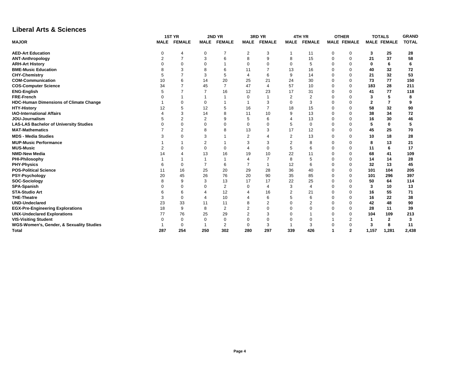### **Liberal Arts & Sciences**

|                                               |     | 1ST YR      |                | 2ND YR         |             | 3RD YR                   |             | 4TH YR        |          | <b>OTHER</b>       | <b>TOTALS</b>           |                    | <b>GRAND</b> |
|-----------------------------------------------|-----|-------------|----------------|----------------|-------------|--------------------------|-------------|---------------|----------|--------------------|-------------------------|--------------------|--------------|
| <b>MAJOR</b>                                  |     | MALE FEMALE | <b>MALE</b>    | <b>FEMALE</b>  | <b>MALE</b> | <b>FEMALE</b>            | <b>MALE</b> | <b>FEMALE</b> |          | <b>MALE FEMALE</b> |                         | <b>MALE FEMALE</b> | <b>TOTAL</b> |
| <b>AED-Art Education</b>                      | 0   |             | $\mathbf 0$    |                | 2           | 3                        |             | 11            | 0        | $\mathbf 0$        | 3                       | 25                 | 28           |
| <b>ANT-Anthropology</b>                       |     |             | 3              | 6              | 8           | 9                        | 8           | 15            | 0        | $\mathbf 0$        | 21                      | 37                 | 58           |
| <b>ARH-Art History</b>                        |     |             |                |                | 0           | $\mathbf 0$              |             | 5             | 0        | $\mathbf 0$        | 0                       | 6                  | 6            |
| <b>BME-Music Education</b>                    |     |             | 8              | 6              | 11          |                          | 13          | 16            | 0        | $\mathbf 0$        | 40                      | 32                 | 72           |
| <b>CHY-Chemistry</b>                          |     |             | 3              | 5              | 4           | 6                        | 9           | 14            | $\Omega$ | $\Omega$           | 21                      | 32                 | 53           |
| <b>COM-Communication</b>                      | 10  |             | 14             | 20             | 25          | 21                       | 24          | 30            | $\Omega$ | $\mathbf 0$        | 73                      | 77                 | 150          |
| <b>COS-Computer Science</b>                   | 34  |             | 45             | $\overline{7}$ | 47          | $\overline{\mathcal{A}}$ | 57          | 10            | $\Omega$ | $\Omega$           | 183                     | 28                 | 211          |
| <b>ENG-English</b>                            |     |             |                | 16             | 12          | 23                       | 17          | 31            | $\Omega$ | $\Omega$           | 41                      | 77                 | 118          |
| <b>FRE-French</b>                             |     |             |                |                | 0           | $\overline{1}$           |             | 2             | $\Omega$ | $\Omega$           | 3                       | 5                  | 8            |
| <b>HDC-Human Dimensions of Climate Change</b> |     |             | $\Omega$       |                |             | 3                        | $\Omega$    | 3             | 0        | $\mathbf 0$        | $\overline{\mathbf{2}}$ |                    | 9            |
| <b>HTY-History</b>                            | 12  |             | 12             |                | 16          |                          | 18          | 15            | $\Omega$ | $\Omega$           | 58                      | 32                 | 90           |
| <b>IAO-International Affairs</b>              |     |             | 14             | ۶              | 11          | 10                       | 9           | 13            | 0        | $\Omega$           | 38                      | 34                 | 72           |
| JOU-Journalism                                |     |             | $\overline{2}$ | 9              | 5           | 6                        |             | 13            | $\Omega$ | $\Omega$           | 16                      | 30                 | 46           |
| <b>LAS-LAS Bachelor of University Studies</b> |     | $\Omega$    | $\Omega$       | $\Omega$       | $\Omega$    | $\Omega$                 | 5           | 0             | $\Omega$ | $\mathbf 0$        | 5                       | 0                  | 5            |
| <b>MAT-Mathematics</b>                        |     | 2           | 8              | Я              | 13          | 3                        | 17          | 12            | $\Omega$ | $\mathbf 0$        | 45                      | 25                 | 70           |
| <b>MDS - Media Studies</b>                    |     | $\Omega$    | 3              |                | 2           | 4                        | 2           | 13            | $\Omega$ | $\Omega$           | 10                      | 18                 | 28           |
| <b>MUP-Music Performance</b>                  |     |             | 2              |                | 3           | 3                        |             | 8             | 0        | 0                  | 8                       | 13                 | 21           |
| <b>MUS-Music</b>                              |     |             | $\Omega$       | $\Omega$       |             | $\Omega$                 | 5           | 6             | 0        | 0                  | 11                      | 6                  | 17           |
| <b>NMD-New Media</b>                          | 14  |             | 13             | 16             | 19          | 10                       | 22          | 11            | $\Omega$ | $\mathbf 0$        | 68                      | 41                 | 109          |
| PHI-Philosophy                                |     |             |                |                |             |                          | 8           |               | ი        | $\Omega$           | 14                      | 14                 | 28           |
| <b>PHY-Physics</b>                            |     |             | $\overline{7}$ | 6              |             |                          | 12          | 6             | $\Omega$ | $\mathbf 0$        | 32                      | 13                 | 45           |
| <b>POS-Political Science</b>                  | 11  | 16          | 25             | 20             | 29          | 28                       | 36          | 40            | $\Omega$ | $\mathbf 0$        | 101                     | 104                | 205          |
| PSY-Psychology                                | 20  | 45          | 26             | 76             | 20          | 90                       | 35          | 85            | 0        | $\Omega$           | 101                     | 296                | 397          |
| SOC-Sociology                                 |     |             | 3              | 13             | 17          | 17                       | 22          | 25            | 0        | $\mathbf 0$        | 50                      | 64                 | 114          |
| <b>SPA-Spanish</b>                            |     |             |                | 2              |             | $\overline{4}$           | 3           | 4             | 0        | $\mathbf 0$        | 3                       | 10                 | 13           |
| <b>STA-Studio Art</b>                         |     |             |                | 12             |             | 16                       |             | 21            | $\Omega$ | $\Omega$           | 16                      | 55                 | 71           |
| <b>THE-Theatre</b>                            | 3   | $\Omega$    |                | 10             |             | 6                        |             | 6             | $\Omega$ | $\Omega$           | 16                      | 22                 | 38           |
| <b>UND-Undeclared</b>                         | 23  | 33          | 11             | 11             | 8           | $\overline{2}$           |             | 2             | $\Omega$ | $\Omega$           | 42                      | 48                 | 90           |
| <b>EGX-Pre-Engineering Explorations</b>       | 18  | 9           | 8              | $\overline{2}$ |             | $\Omega$                 |             | $\Omega$      | $\Omega$ | $\Omega$           | 28                      | 11                 | 39           |
| <b>UNX-Undeclared Explorations</b>            | 77  | 76          | 25             | 29             |             | 3                        |             |               | $\Omega$ | $\Omega$           | 104                     | 109                | 213          |
| <b>VIS-Visiting Student</b>                   |     | $\Omega$    | $\Omega$       | $\mathbf 0$    | 0           | $\mathbf 0$              | $\Omega$    |               |          | 2                  | 1                       | 2                  | 3            |
| WGS-Women's, Gender, & Sexuality Studies      |     | $\Omega$    |                | 2              | $\Omega$    | 3                        |             | 3             | 0        | $\mathbf 0$        | 3                       | 8                  | 11           |
| <b>Total</b>                                  | 287 | 254         | 250            | 302            | 280         | 297                      | 339         | 426           |          | $\overline{2}$     | 1,157                   | 1,281              | 2,438        |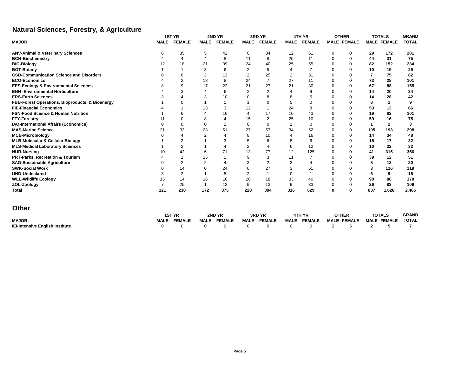## **Natural Sciences, Forestry, & Agriculture**

|                                                 |             | 1ST YR         |                | 2ND YR         |             | 3RD YR        |             | 4TH YR        |          | <b>OTHER</b>       |     | <b>TOTALS</b>      | <b>GRAND</b> |
|-------------------------------------------------|-------------|----------------|----------------|----------------|-------------|---------------|-------------|---------------|----------|--------------------|-----|--------------------|--------------|
| <b>MAJOR</b>                                    | <b>MALE</b> | <b>FEMALE</b>  | <b>MALE</b>    | <b>FEMALE</b>  | <b>MALE</b> | <b>FEMALE</b> | <b>MALE</b> | <b>FEMALE</b> |          | <b>MALE FEMALE</b> |     | <b>MALE FEMALE</b> | <b>TOTAL</b> |
| <b>ANV-Animal &amp; Veterinary Sciences</b>     |             | 35             | 5              | 42             | 6           | 34            | 12          | 61            | 0        | 0                  | 29  | 172                | 201          |
| <b>BCH-Biochemistry</b>                         |             | 4              |                | 8              | 11          | 8             | 25          | 11            | 0        | $\mathbf 0$        | 44  | 31                 | 75           |
| <b>BIO-Biology</b>                              |             | 18             | 21             | 39             | 24          | 40            | 25          | 55            | 0        | $\mathbf 0$        | 82  | 152                | 234          |
| <b>BOT-Botany</b>                               |             |                | 3              | 6              | 2           | 5             |             |               | 0        | $\Omega$           | 10  | 19                 | 29           |
| <b>CSD-Communication Science and Disorders</b>  |             | 6              | 3              | 13             | 2           | 25            | 2           | 31            | 0        | $\mathbf 0$        | 7   | 75                 | 82           |
| <b>ECO-Economics</b>                            |             | 2              | 18             | 8              | 24          |               | 27          | 11            | 0        | $\Omega$           | 73  | 28                 | 101          |
| <b>EES-Ecology &amp; Environmental Sciences</b> |             | 9              | 17             | 22             | 21          | 27            | 21          | 30            | 0        | $\Omega$           | 67  | 88                 | 155          |
| <b>ENH -Environmental Horticulture</b>          |             | 3              |                | 6              | 2           | 2             |             | 9             | $\Omega$ | $\mathbf 0$        | 14  | 20                 | 34           |
| <b>ERS-Earth Sciences</b>                       |             |                | 3              | 10             |             | 8             | 8           | 6             | 0        | $\Omega$           | 14  | 28                 | 42           |
| FBB-Forest Operations, Bioproducts, & Bioenergy |             |                |                |                |             | O             | 5           | $\Omega$      | 0        | $\mathbf 0$        | 8   |                    | 9            |
| <b>FIE-Financial Economics</b>                  |             |                | 13             | 3              | 12          |               | 24          |               | $\Omega$ | $\Omega$           | 53  | 13                 | 66           |
| <b>FSN-Food Science &amp; Human Nutrition</b>   |             | 6              |                | 16             |             | 17            | 10          | 43            | $\Omega$ | $\Omega$           | 19  | 82                 | 101          |
| <b>FTY-Forestry</b>                             |             | 0              | 8              | 4              | 15          | 2             | 25          | 10            | $\Omega$ | $\mathbf 0$        | 59  | 16                 | 75           |
| <b>IAO-International Affairs (Economics)</b>    |             | $\Omega$       | 0              | $\overline{2}$ | $\Omega$    | 0             |             | $\Omega$      | $\Omega$ | $\mathbf 0$        | 1   | $\mathbf{2}$       | 3            |
| <b>MAS-Marine Science</b>                       | 21          | 33             | 23             | 51             | 27          | 57            | 34          | 52            | $\Omega$ | $\mathbf 0$        | 105 | 193                | 298          |
| <b>MCB-Microbiology</b>                         |             |                |                |                |             | 10            |             | 16            | 0        | $\Omega$           | 14  | 34                 | 48           |
| <b>MLB-Molecular &amp; Cellular Biology</b>     |             | $\overline{2}$ |                |                |             | 6             |             | 6             | $\Omega$ | $\Omega$           | 15  | 17                 | 32           |
| <b>MLS-Medical Laboratory Sciences</b>          |             | 2              |                |                | 2           | 4             | 6           | 12            | $\Omega$ | $\Omega$           | 10  | 22                 | 32           |
| <b>NUR-Nursing</b>                              | 10          | 42             | 6              | 71             | 13          | 77            | 12          | 125           | 0        | $\Omega$           | 41  | 315                | 356          |
| PRT-Parks, Recreation & Tourism                 |             |                | 15             |                |             | 3             | 11          |               | $\Omega$ | $\Omega$           | 39  | 12                 | 51           |
| <b>SAG-Sustainable Agriculture</b>              |             | $\overline{2}$ | $\overline{2}$ |                |             | 2             | 3           |               | 0        | $\Omega$           | 8   | 12                 | 20           |
| <b>SWK-Social Work</b>                          |             | 14             |                | 24             |             | 27            | 3           | 51            | 0        | $\mathbf 0$        | 3   | 116                | 119          |
| <b>UND-Undeclared</b>                           | 3           | 2              |                | 5              | 2           |               | 0           |               | $\Omega$ | $\Omega$           | 6   | 9                  | 15           |
| <b>WLE-Wildlife Ecology</b>                     | 15          | 14             | 16             | 16             | 26          | 18            | 33          | 40            | 0        | $\mathbf{0}$       | 90  | 88                 | 178          |
| ZOL-Zoology                                     |             | 25             |                | 12             | 9           | 13            | 9           | 33            | 0        | $\mathbf 0$        | 26  | 83                 | 109          |
| <b>Total</b>                                    | 121         | 230            | 172            | 375            | 228         | 394           | 316         | 629           | 0        | $\mathbf 0$        | 837 | 1,628              | 2,465        |
| <b>Other</b>                                    |             |                |                |                |             |               |             |               |          |                    |     |                    |              |

|                                        |       | <b>1ST YR</b> | 2ND YR             | 3RD YR                      | 4TH YR             | <b>OTHER</b>                   | <b>TOTALS</b> | <b>GRAND</b> |
|----------------------------------------|-------|---------------|--------------------|-----------------------------|--------------------|--------------------------------|---------------|--------------|
| <b>MAJOR</b>                           | MAIF. | <b>FEMALE</b> | <b>MALE FEMALE</b> | <b>MALE FEMALE</b>          | <b>MALE FEMALE</b> | <b>MALE FEMALE MALE FEMALE</b> |               | TOTAL        |
| <b>IEI-Intensive English Institute</b> |       |               |                    | 0 0 0 0 0 0 0 0 0 2 5 2 5 7 |                    |                                |               |              |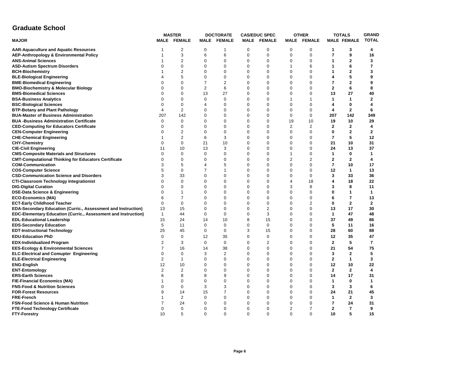### **Graduate School**

|                                                                      |                | <b>MASTER</b>      |                | <b>DOCTORATE</b>   |             | <b>CAS/EDUC SPEC</b> |                | <b>OTHER</b>   |                | <b>TOTALS</b>           | <b>GRAND</b>   |
|----------------------------------------------------------------------|----------------|--------------------|----------------|--------------------|-------------|----------------------|----------------|----------------|----------------|-------------------------|----------------|
| <b>MAJOR</b>                                                         |                | <b>MALE FEMALE</b> |                | <b>MALE FEMALE</b> |             | MALE FEMALE          |                | MALE FEMALE    |                | <b>MALE FEMALE</b>      | <b>TOTAL</b>   |
| <b>AAR-Aquaculture and Aquatic Resources</b>                         | -1             | 2                  | $\mathbf{0}$   | 1                  | 0           | $\Omega$             | 0              | $\mathbf 0$    | $\mathbf 1$    | 3                       | 4              |
| <b>AEP-Anthropology &amp; Environmental Policy</b>                   | -1             | 3                  | 6              | 6                  | $\Omega$    | $\Omega$             | 0              | 0              | $\overline{7}$ | 9                       | 16             |
| <b>ANS-Animal Sciences</b>                                           | 1              | 2                  | $\mathbf 0$    | $\mathbf 0$        | $\Omega$    | $\mathbf 0$          | 0              | $\mathbf 0$    | 1              | $\overline{2}$          | 3              |
| <b>ASD-Autism Spectrum Disorders</b>                                 | $\Omega$       | $\mathbf 0$        | $\mathbf 0$    | $\mathbf 0$        | $\Omega$    | $\mathbf 0$          | $\mathbf{1}$   | 6              | 1              | 6                       | $\overline{7}$ |
| <b>BCH-Biochemistry</b>                                              |                | 2                  | $\mathbf 0$    | 0                  | 0           | $\mathbf 0$          | $\mathbf 0$    | 0              | 1              | $\mathbf{2}$            | 3              |
| <b>BLE-Biological Engineering</b>                                    |                | 5                  | 0              | 0                  | $\mathbf 0$ | $\mathbf 0$          | 0              | 0              | 4              | 5                       | 9              |
| <b>BME-Biomedical Engineering</b>                                    | $\mathbf 0$    | $\mathbf 0$        | $\overline{7}$ | 2                  | $\mathbf 0$ | $\mathbf 0$          | 0              | 0              | $\overline{7}$ | $\overline{2}$          | 9              |
| <b>BMO-Biochemistry &amp; Molecular Biology</b>                      | $\Omega$       | $\Omega$           | 2              | 6                  | $\Omega$    | $\mathbf 0$          | $\Omega$       | 0              | $\mathbf{2}$   | 6                       | 8              |
| <b>BMS-Biomedical Sciences</b>                                       | $\Omega$       | $\Omega$           | 13             | 27                 | 0           | $\mathbf 0$          | 0              | 0              | 13             | 27                      | 40             |
| <b>BSA-Business Analytics</b>                                        | $\Omega$       | $\Omega$           | $\mathbf{0}$   | $\Omega$           | $\Omega$    | $\mathbf 0$          | $\overline{1}$ | $\mathbf 1$    | $\mathbf 1$    | 1                       | $\mathbf{2}$   |
| <b>BSC-Biological Sciences</b>                                       | $\Omega$       | $\Omega$           | 4              | $\Omega$           | $\Omega$    | $\Omega$             | $\Omega$       | $\Omega$       | 4              | $\bf{0}$                | 4              |
| <b>BTP-Botany and Plant Pathology</b>                                | $\overline{4}$ | 2                  | 0              | 0                  | $\Omega$    | $\mathbf 0$          | 0              | $\mathbf 0$    | 4              | $\mathbf{2}$            | 6              |
| <b>BUA-Master of Business Administration</b>                         | 207            | 142                | 0              | 0                  | $\mathbf 0$ | $\mathbf 0$          | 0              | 0              | 207            | 142                     | 349            |
| <b>BUA -Business Administration Certificate</b>                      | $\Omega$       | 0                  | 0              | $\Omega$           | $\Omega$    | $\mathbf 0$          | 19             | 10             | 19             | 10                      | 29             |
| <b>CED-Computing for Educators Certificate</b>                       | 0              | $\mathbf 0$        | 0              | 0                  | $\Omega$    | $\mathbf 0$          | $\overline{2}$ | $\overline{2}$ | $\mathbf{2}$   | $\mathbf{2}$            | 4              |
| <b>CEN-Computer Engineering</b>                                      | 0              | 2                  | 0              | $\mathbf 0$        | 0           | $\mathbf 0$          | 0              | $\mathbf 0$    | 0              | $\mathbf{2}$            | 2              |
| <b>CHE-Chemical Engineering</b>                                      | 1              | $\overline{2}$     | 6              | 3                  | $\Omega$    | $\mathbf 0$          | $\Omega$       | 0              | $\overline{7}$ | 5                       | 12             |
| <b>CHY-Chemistry</b>                                                 | 0              | $\mathbf 0$        | 21             | 10                 | $\Omega$    | $\mathbf 0$          | 0              | 0              | 21             | 10                      | 31             |
| <b>CIE-Civil Engineering</b>                                         | 11             | 10                 | 13             | 3                  | $\Omega$    | $\mathbf 0$          | 0              | $\mathbf 0$    | 24             | 13                      | 37             |
| <b>CMS-Composite Materials and Structures</b>                        | $\Omega$       | $\mathbf 0$        | $\mathbf{0}$   | $\mathbf 0$        | $\Omega$    | $\mathbf 0$          | $\mathbf{1}$   | $\mathbf 0$    | $\mathbf{1}$   | 0                       | 1              |
| <b>CMT-Computational Thinking for Educators Certificate</b>          | 0              | 0                  | 0              | 0                  | $\mathbf 0$ | $\mathbf 0$          | 2              | 2              | 2              | $\mathbf{2}$            | 4              |
| <b>COM-Communication</b>                                             | 3              | 5                  | 4              | 5                  | $\Omega$    | $\mathbf 0$          | 0              | $\mathbf 0$    | $\overline{7}$ | 10                      | 17             |
| <b>COS-Computer Science</b>                                          | 5              | $\mathbf 0$        | $\overline{7}$ | 1                  | $\Omega$    | $\mathbf 0$          | $\Omega$       | $\mathbf 0$    | 12             | $\mathbf{1}$            | 13             |
| <b>CSD-Communication Science and Disorders</b>                       | 3              | 33                 | $\mathbf 0$    | 0                  | $\Omega$    | $\mathbf 0$          | 0              | 0              | 3              | 33                      | 36             |
| <b>CTI-Classroom Technology Integrationist</b>                       | $\Omega$       | $\mathbf 0$        | 0              | 0                  | 0           | $\mathbf 0$          | 4              | 18             | 4              | 18                      | 22             |
| <b>DIG-Digital Curation</b>                                          | $\Omega$       | $\Omega$           | $\mathbf 0$    | $\Omega$           | $\Omega$    | $\mathbf 0$          | 3              | 8              | 3              | 8                       | 11             |
| <b>DSE-Data Science &amp; Engineering</b>                            | $\Omega$       | 1                  | $\Omega$       | $\Omega$           | $\Omega$    | $\Omega$             | $\Omega$       | $\Omega$       | 0              | $\mathbf 1$             | $\mathbf 1$    |
| <b>ECO-Economics (MA)</b>                                            | 6              | $\overline{7}$     | 0              | $\mathbf 0$        | $\Omega$    | $\mathbf 0$          | 0              | $\mathbf 0$    | 6              | $\overline{\mathbf{r}}$ | 13             |
| <b>ECT-Early Childhood Teacher</b>                                   | 0              | $\mathbf 0$        | $\mathbf 0$    | $\mathbf 0$        | $\Omega$    | $\mathbf 0$          | 0              | 2              | 0              | $\mathbf{2}$            | $\mathbf{2}$   |
| <b>EDA-Secondary Education (Curric., Assessment and Instruction)</b> | 13             | 15                 | 0              | $\Omega$           | $\Omega$    | 2                    | 0              | 0              | 13             | 17                      | 30             |
| EDC-Elementary Education (Curric., Assessment and Instruction)       | $\mathbf{1}$   | 44                 | $\mathbf 0$    | $\mathbf 0$        | $\Omega$    | 3                    | 0              | $\mathbf 0$    | $\mathbf{1}$   | 47                      | 48             |
| <b>EDL-Educational Leadership</b>                                    | 15             | 24                 | 14             | 10                 | 8           | 15                   | 0              | $\mathbf 0$    | 37             | 49                      | 86             |
| <b>EDS-Secondary Education</b>                                       | 5              | 11                 | $\mathbf 0$    | $\Omega$           | $\Omega$    | $\mathbf 0$          | $\Omega$       | 0              | 5              | 11                      | 16             |
| <b>EDT-Instructional Technology</b>                                  | 25             | 45                 | 0              | 0                  | 3           | 15                   | 0              | 0              | 28             | 60                      | 88             |
| <b>EDU-Education PhD</b>                                             | 0              | $\mathbf 0$        | 12             | 35                 | $\Omega$    | $\mathbf 0$          | 0              | $\mathbf 0$    | 12             | 35                      | 47             |
| <b>EDX-Individualized Program</b>                                    | 2              | 3                  | $\mathbf 0$    | $\mathbf 0$        | $\Omega$    | $\overline{2}$       | 0              | 0              | $\mathbf{2}$   | 5                       | 7              |
| <b>EES-Ecology &amp; Environmental Sciences</b>                      | $\overline{7}$ | 16                 | 14             | 38                 | $\Omega$    | $\mathbf 0$          | 0              | $\mathbf 0$    | 21             | 54                      | 75             |
| <b>ELC-Electrical and Comupter Engineering</b>                       | 0              | $\mathbf 0$        | 3              | 2                  | $\Omega$    | $\mathbf 0$          | 0              | 0              | 3              | $\mathbf{2}$            | 5              |
| <b>ELE-Electrical Engineering</b>                                    | 2              | $\mathbf 1$        | 0              | 0                  | $\Omega$    | $\mathbf 0$          | 0              | 0              | $\mathbf{2}$   | $\mathbf{1}$            | 3              |
| <b>ENG-English</b>                                                   | 12             | 10                 | $\mathbf 0$    | $\mathbf 0$        | $\Omega$    | $\mathbf 0$          | 0              | 0              | 12             | 10                      | 22             |
| <b>ENT-Entomology</b>                                                | $\overline{2}$ | 2                  | 0              | 0                  | $\Omega$    | $\mathbf 0$          | $\Omega$       | 0              | $\mathbf{2}$   | $\mathbf{2}$            | 4              |
| <b>ERS-Earth Sciences</b>                                            | 6              | 8                  | 8              | 9                  | $\mathbf 0$ | $\mathbf 0$          | 0              | 0              | 14             | 17                      | 31             |
| <b>FIE-Financial Economics (MA)</b>                                  | 1              | $\mathbf 0$        | 0              | 0                  | $\Omega$    | $\mathbf 0$          | $\mathbf 0$    | $\mathbf 0$    | $\mathbf{1}$   | 0                       | 1              |
| <b>FNS-Food &amp; Nutrition Sciences</b>                             | $\Omega$       | $\mathbf 0$        | 3              | 3                  | $\Omega$    | $\mathbf 0$          | $\Omega$       | 0              | 3              | 3                       | 6              |
| <b>FOR-Forest Resources</b>                                          | 9              | 14                 | 15             | $\overline{7}$     | 0           | $\mathbf 0$          | $\mathbf 0$    | 0              | 24             | 21                      | 45             |
| <b>FRE-French</b>                                                    | 1              | 2                  | $\mathbf 0$    | $\Omega$           | $\Omega$    | $\mathbf 0$          | 0              | 0              | $\mathbf{1}$   | $\mathbf{2}$            | 3              |
| <b>FSN-Food Science &amp; Human Nutrition</b>                        | $\overline{7}$ | 24                 | $\mathbf 0$    | $\Omega$           | $\Omega$    | $\mathbf 0$          | $\mathbf 0$    | $\mathbf 0$    | $\overline{7}$ | 24                      | 31             |
| <b>FTE-Food Technology Certificate</b>                               | 0              | $\mathbf 0$        | $\mathbf 0$    | 0                  | $\Omega$    | $\mathbf 0$          | 2              | 7              | $\mathbf{2}$   | $\overline{7}$          | 9              |
| <b>FTY-Forestry</b>                                                  | 10             | 5                  | $\mathbf 0$    | $\mathbf 0$        | 0           | $\mathbf 0$          | $\mathbf 0$    | $\mathbf 0$    | 10             | 5                       | 15             |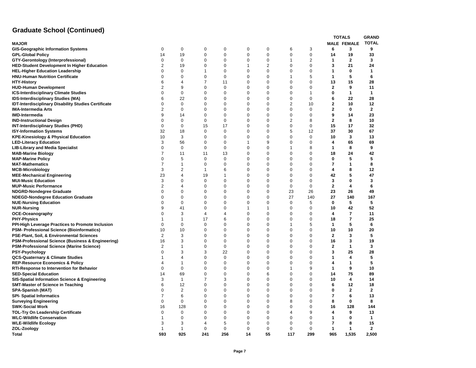## **Graduate School (Continued)**

|                                                             |                         |                |                |             |              |          |                |              |                | <b>TOTALS</b>      | <b>GRAND</b>         |
|-------------------------------------------------------------|-------------------------|----------------|----------------|-------------|--------------|----------|----------------|--------------|----------------|--------------------|----------------------|
| <b>MAJOR</b>                                                |                         |                |                |             |              |          |                |              |                | <b>MALE FEMALE</b> | <b>TOTAL</b>         |
| <b>GIS-Geographic Information Systems</b>                   | 0                       | 0              | 0              | 0           | 0            | 0        | 6              | 3            | 6              | 3                  | 9                    |
| <b>GPL-Global Policy</b>                                    | 14                      | 19             | 0              | $\mathbf 0$ | 0            | 0        | $\mathbf 0$    | $\mathbf 0$  | 14             | 19                 | 33                   |
| GTY-Gerontology (Interprofessional)                         | 0                       | $\mathbf 0$    | 0              | 0           | 0            | 0        | $\mathbf{1}$   | $\sqrt{2}$   | $\mathbf{1}$   | $\mathbf{2}$       | 3                    |
| <b>HED-Student Development In Higher Education</b>          | $\overline{2}$          | 19             | 0              | $\mathbf 0$ | $\mathbf{1}$ | 2        | $\mathbf 0$    | $\mathbf{0}$ | 3              | 21                 | 24                   |
| <b>HEL-Higher Education Leadership</b>                      | $\mathbf 0$             | 0              | 1              | 0           | 0            | 0        | $\mathbf 0$    | $\mathbf 0$  | 1              | 0                  | 1                    |
| <b>HNU-Human Nutrition Certificate</b>                      | 0                       | 0              | 0              | 0           | 0            | 0        | $\overline{1}$ | 5            | $\mathbf{1}$   | 5                  | 6                    |
| <b>HTY-History</b>                                          | 6                       | $\overline{4}$ | $\overline{7}$ | 11          | 0            | 0        | $\mathbf 0$    | $\mathbf 0$  | 13             | 15                 | 28                   |
| <b>HUD-Human Development</b>                                | $\overline{\mathbf{c}}$ | 9              | $\Omega$       | $\Omega$    | $\Omega$     | 0        | 0              | 0            | $\mathbf{2}$   | 9                  | 11                   |
| <b>ICS-Interdisciplinary Climate Studies</b>                | $\mathbf 0$             | $\mathbf 0$    | 0              | 0           | $\mathbf 0$  | 0        | $\mathbf 0$    | $\mathbf{1}$ | 0              | $\mathbf{1}$       | 1                    |
| <b>IDS-Interdisciplinary Studies (MA)</b>                   | 6                       | 22             | $\Omega$       | $\mathbf 0$ | 0            | 0        | $\mathbf 0$    | $\mathbf 0$  | 6              | 22                 | 28                   |
| <b>IDT-Interdisciplinary Disability Studies Certificate</b> | 0                       | $\mathbf 0$    | 0              | 0           | 0            | 0        | 2              | 10           | 2              | 10                 | 12                   |
| <b>IMA-Intermedia Arts</b>                                  | $\overline{2}$          | $\mathbf 0$    | $\Omega$       | $\mathbf 0$ | $\mathbf 0$  | 0        | $\mathbf 0$    | $\mathbf 0$  | $\mathbf{2}$   | $\mathbf 0$        | $\overline{2}$       |
| <b>IMD-Intermedia</b>                                       | 9                       | 14             | 0              | $\mathbf 0$ | 0            | 0        | $\pmb{0}$      | $\mathbf 0$  | 9              | 14                 | 23                   |
| <b>IND-Instructional Design</b>                             | $\mathbf 0$             | 0              | 0              | 0           | $\mathbf 0$  | 0        | $\overline{2}$ | 8            | $\mathbf{2}$   | 8                  | 10                   |
| <b>INT-Interdisciplinary Studies (PHD)</b>                  | $\mathbf 0$             | $\mathbf 0$    | 15             | 17          | 0            | 0        | $\mathbf 0$    | $\mathbf{0}$ | 15             | 17                 | 32                   |
| <b>ISY-Information Systems</b>                              | 32                      | 18             | 0              | $\mathbf 0$ | 0            | 0        | 5              | 12           | 37             | 30                 | 67                   |
| <b>KPE-Kinesiology &amp; Physical Education</b>             | 10                      | 3              | 0              | $\mathbf 0$ | $\mathbf 0$  | 0        | $\mathbf 0$    | $\mathbf{0}$ | 10             | 3                  | 13                   |
| <b>LED-Literacy Education</b>                               | 3                       | 56             | 0              | $\mathbf 0$ | $\mathbf{1}$ | 9        | 0              | $\mathbf 0$  | 4              | 65                 | 69                   |
| <b>LIB-Library and Media Specialist</b>                     | $\mathbf 0$             | $\mathbf 0$    | 0              | 0           | 0            | 0        | $\mathbf{1}$   | 8            | 1              | 8                  | 9                    |
| <b>MAB-Marine Biology</b>                                   | $\overline{7}$          | 11             | 11             | 13          | 0            | 0        | $\mathbf 0$    | $\mathbf 0$  | 18             | 24                 | 42                   |
| <b>MAP-Marine Policy</b>                                    | $\mathbf 0$             | 5              | 0              | 0           | 0            | 0        | $\mathbf 0$    | $\mathbf 0$  | $\bf{0}$       | 5                  | 5                    |
| <b>MAT-Mathematics</b>                                      | $\overline{7}$          | $\mathbf{1}$   | $\Omega$       | $\mathbf 0$ | 0            | 0        | $\mathbf 0$    | 0            | $\overline{7}$ | $\mathbf{1}$       | 8                    |
| <b>MCB-Microbiology</b>                                     | 3                       | $\overline{2}$ | $\mathbf{1}$   | 6           | 0            | 0        | $\mathbf 0$    | $\mathbf 0$  | 4              | 8                  | 12                   |
| <b>MEE-Mechanical Engineering</b>                           | 23                      | 4              | 19             | $\mathbf 1$ | 0            | 0        | $\mathbf 0$    | $\mathbf 0$  | 42             | 5                  | 47                   |
| <b>MUI-Music Education</b>                                  | 3                       | $\mathbf 0$    | $\mathbf 0$    | $\mathbf 0$ | 0            | 0        | $\mathbf 0$    | $\mathbf 0$  | 3              | 0                  | 3                    |
| <b>MUP-Music Performance</b>                                | $\overline{2}$          | 4              | 0              | $\mathbf 0$ | 0            | 0        | $\mathbf 0$    | $\mathbf 0$  | $\mathbf{2}$   | 4                  | 6                    |
| <b>NDGRD-Nondegree Graduate</b>                             | 0                       | $\mathbf 0$    | 0              | $\mathbf 0$ | 0            | 0        | 23             | 26           | 23             | 26                 | 49                   |
| <b>NDEGD-Nondegree Education Graduate</b>                   | $\mathbf 0$             | $\mathbf 0$    | 0              | $\mathbf 0$ | $\mathbf 0$  | 0        | 27             | 140          | 27             | 140                | 167                  |
| <b>NUE-Nursing Education</b>                                | $\Omega$                | $\Omega$       | $\Omega$       | $\Omega$    | $\Omega$     | $\Omega$ | 0              | 5            | 0              | 5                  | 5                    |
| <b>NUR-Nursing</b>                                          | 9                       | 41             | 0              | 0           | 1            | 1        | 0              | 0            | 10             | 42                 | 52                   |
| <b>OCE-Oceanography</b>                                     | $\mathbf 0$             | 3              | 4              | 4           | 0            | 0        | $\mathbf 0$    | $\mathbf 0$  | 4              | $\overline{7}$     | 11                   |
| <b>PHY-Physics</b>                                          | $\mathbf{1}$            | $\mathbf{1}$   | 17             | 6           | $\Omega$     | 0        | $\mathbf 0$    | $\mathbf 0$  | 18             | $\overline{7}$     | 25                   |
| PPI-High Leverage Practices to Promote Inclusion            | $\mathbf 0$             | $\mathbf 0$    | $\mathbf 0$    | $\mathbf 0$ | $\mathbf 0$  | 0        | $\mathbf{1}$   | 5            | $\mathbf{1}$   | 5                  | 6                    |
| PSM- Professional Science (Bioinformatics)                  | 10                      | 10             | 0              | 0           | 0            | 0        | $\mathbf 0$    | $\mathbf 0$  | 10             | 10                 | 20                   |
| PSE-Plant, Soil, & Environmental Sciences                   | 2                       | 3              | $\Omega$       | $\mathbf 0$ | 0            | 0        | 0              | $\mathbf 0$  | $\overline{2}$ | 3                  | 5                    |
| PSM-Professional Science (Business & Engineering)           | 16                      | 3              | $\Omega$       | $\mathbf 0$ | $\mathbf 0$  | 0        | $\mathbf 0$    | $\mathbf 0$  | 16             | 3                  | 19                   |
| <b>PSM-Professional Science (Marine Science)</b>            | $\overline{2}$          | $\mathbf{1}$   | 0              | $\mathbf 0$ | 0            | 0        | $\mathbf 0$    | $\mathbf 0$  | $\mathbf{2}$   | $\mathbf{1}$       | 3                    |
| <b>PSY-Psychology</b>                                       | 0                       | 3              | 3              | 22          | 0            | 0        | $\mathbf 0$    | $\mathbf 0$  | 3              | 25                 | 28                   |
| <b>QCS-Quaternary &amp; Climate Studies</b>                 | $\mathbf{1}$            | 4              | 0              | $\mathbf 0$ | 0            | 0        | $\mathbf 0$    | $\mathbf 0$  | 1              | 4                  | 5                    |
| <b>REP-Resource Economics &amp; Policy</b>                  | 4                       | $\mathbf 1$    | $\Omega$       | $\mathbf 0$ | $\Omega$     | 0        | $\mathbf 0$    | $\mathbf 0$  | 4              | $\mathbf{1}$       | 5                    |
| RTI-Response to Intervention for Behavior                   | $\mathbf 0$             | $\mathbf 0$    | $\Omega$       | $\mathbf 0$ | 0            | 0        | $\overline{1}$ | 9            | $\mathbf{1}$   | 9                  | 10                   |
| <b>SED-Special Education</b>                                | 14                      | 69             | 0              | 0           | 0            | 6        | $\mathbf 0$    | $\mathbf 0$  | 14             | 75                 | 89                   |
| <b>SIS-Spatial Information Science &amp; Engineering</b>    | 3                       | $\mathbf{1}$   | 7              | 3           | $\Omega$     | 0        | 0              | 0            | 10             | 4                  | 14                   |
| <b>SMT-Master of Science in Teaching</b>                    | 6                       | 12             | 0              | 0           | 0            | 0        | $\mathbf 0$    | $\mathbf 0$  | 6              | 12                 | 18                   |
| SPA-Spanish (MAT)                                           | $\mathbf 0$             | $\mathbf{2}$   | $\Omega$       | 0           | 0            | 0        | $\mathbf 0$    | $\mathbf 0$  | 0              | $\mathbf{2}$       | 2                    |
|                                                             | 7                       | 6              | 0              | $\mathbf 0$ | $\mathbf 0$  | 0        | 0              | 0            | $\overline{7}$ | 6                  | 13                   |
| <b>SPI- Spatial Informatics</b>                             | $\mathbf 0$             | $\mathbf 0$    | $\Omega$       | $\mathbf 0$ | $\mathbf 0$  | 0        | 8              | $\mathbf 0$  | 8              | 0                  | 8                    |
| <b>Surveying Engineering</b>                                | 16                      | 128            | 0              | $\mathbf 0$ | 0            | 0        | 0              | 0            | 16             | 128                | 144                  |
| <b>SWK-Social Work</b>                                      | $\mathbf 0$             | $\mathbf 0$    | 0              | $\mathbf 0$ | $\mathbf 0$  | 0        | $\overline{4}$ | 9            | 4              | 9                  |                      |
| TOL-Try On Leadership Certificate                           | $\mathbf 1$             | $\mathbf 0$    | 0              | 0           | 0            | 0        | $\mathbf 0$    |              | $\mathbf{1}$   | 0                  | 13<br>$\mathbf 1$    |
| <b>WLC-Wildlife Conservation</b>                            | 3                       |                |                |             |              |          | 0              | 0<br>0       | $\overline{7}$ |                    |                      |
| <b>WLE-Wildlife Ecology</b>                                 |                         | 3              | 4              | 5           | 0            | 0        |                |              | $\mathbf{1}$   | 8                  | 15<br>$\overline{2}$ |
| ZOL-Zoology                                                 | $\mathbf{1}$            | $\mathbf{1}$   | $\mathbf 0$    | $\mathbf 0$ | 0            | 0<br>55  | $\mathbf 0$    | $\mathbf 0$  |                | $\mathbf{1}$       |                      |
| Total                                                       | 593                     | 925            | 241            | 256         | 14           |          | 117            | 299          | 965            | 1,535              | 2,500                |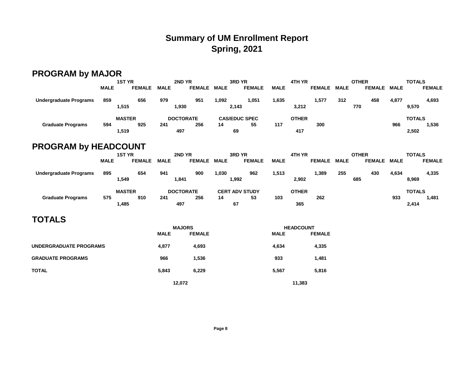# **Summary of UM Enrollment Report Spring, 2021**

# **PROGRAM by MAJOR**

|                               |             | <b>1ST YR</b> |             | 2ND YR           |             | 3RD YR                |             | 4TH YR       |               |             | <b>OTHER</b>  |             | <b>TOTALS</b> |
|-------------------------------|-------------|---------------|-------------|------------------|-------------|-----------------------|-------------|--------------|---------------|-------------|---------------|-------------|---------------|
|                               | <b>MALE</b> | <b>FEMALE</b> | <b>MALE</b> | <b>FEMALE</b>    | <b>MALE</b> | <b>FEMALE</b>         | <b>MALE</b> |              | <b>FEMALE</b> | <b>MALE</b> | <b>FEMALE</b> | <b>MALE</b> | <b>FEMALE</b> |
| <b>Undergraduate Programs</b> | 859         | 656           | 979         | 951              | 1,092       | 1,051                 | 1,635       |              | 1,577         | 312         | 458           | 4,877       | 4,693         |
|                               |             | 1,515         | 1,930       |                  |             | 2,143                 |             | 3,212        |               |             | 770           |             | 9,570         |
|                               |             | <b>MASTER</b> |             | <b>DOCTORATE</b> |             | <b>CAS/EDUC SPEC</b>  |             | <b>OTHER</b> |               |             |               |             | <b>TOTALS</b> |
| <b>Graduate Programs</b>      | 594         | 925           | 241         | 256              | 14          | 55                    | 117         |              | 300           |             |               | 966         | 1,536         |
|                               |             | 1,519         | 497         |                  |             | 69                    |             | 417          |               |             |               |             | 2,502         |
| <b>PROGRAM by HEADCOUNT</b>   |             |               |             |                  |             |                       |             |              |               |             |               |             |               |
|                               |             | <b>1ST YR</b> |             | 2ND YR           |             | 3RD YR                |             | 4TH YR       |               |             | <b>OTHER</b>  |             | <b>TOTALS</b> |
|                               | <b>MALE</b> | <b>FEMALE</b> | <b>MALE</b> | <b>FEMALE</b>    | <b>MALE</b> | <b>FEMALE</b>         | <b>MALE</b> |              | <b>FEMALE</b> | <b>MALE</b> | <b>FEMALE</b> | <b>MALE</b> | <b>FEMALE</b> |
| <b>Undergraduate Programs</b> | 895         | 654           | 941         | 900              | 1,030       | 962                   | 1,513       |              | 1,389         | 255         | 430           | 4,634       | 4,335         |
|                               |             | 1,549         | 1,841       |                  |             | 1,992                 |             | 2,902        |               |             | 685           |             | 8,969         |
|                               |             | <b>MASTER</b> |             | <b>DOCTORATE</b> |             | <b>CERT ADV STUDY</b> |             | <b>OTHER</b> |               |             |               |             | <b>TOTALS</b> |
| <b>Graduate Programs</b>      | 575         | 910           | 241         | 256              | 14          | 53                    | 103         |              | 262           |             |               | 933         | 1,481         |
|                               |             | 1,485         | 497         |                  |             | 67                    |             | 365          |               |             |               |             | 2,414         |

## **TOTALS**

|                          |             | <b>MAJORS</b> |             | <b>HEADCOUNT</b> |  |  |
|--------------------------|-------------|---------------|-------------|------------------|--|--|
|                          | <b>MALE</b> | <b>FEMALE</b> | <b>MALE</b> | <b>FEMALE</b>    |  |  |
| UNDERGRADUATE PROGRAMS   | 4.877       | 4,693         | 4,634       | 4,335            |  |  |
| <b>GRADUATE PROGRAMS</b> | 966         | 1.536         | 933         | 1,481            |  |  |
| <b>TOTAL</b>             | 5,843       | 6,229         | 5,567       | 5,816            |  |  |
|                          |             | 12.072        | 11,383      |                  |  |  |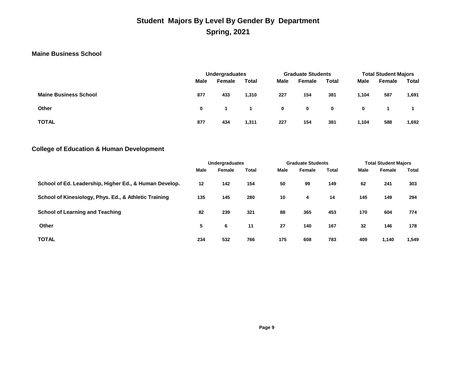## **Student Majors By Level By Gender By Department Spring, 2021**

### **Maine Business School**

|                              |      | Undergraduates |              |             | <b>Graduate Students</b> |              | <b>Total Student Majors</b> |        |              |  |
|------------------------------|------|----------------|--------------|-------------|--------------------------|--------------|-----------------------------|--------|--------------|--|
|                              | Male | Female         | <b>Total</b> | Male        | Female                   | <b>Total</b> | Male                        | Female | <b>Total</b> |  |
| <b>Maine Business School</b> | 877  | 433            | 1,310        | 227         | 154                      | 381          | 1,104                       | 587    | 1,691        |  |
| <b>Other</b>                 | 0    |                |              | $\mathbf 0$ | $\mathbf 0$              | $\mathbf 0$  | 0                           |        |              |  |
| <b>TOTAL</b>                 | 877  | 434            | 1,311        | 227         | 154                      | 381          | 1,104                       | 588    | 1,692        |  |

### **College of Education & Human Development**

|                                                        | <b>Undergraduates</b> |        |       |      | <b>Graduate Students</b> |       | <b>Total Student Majors</b> |        |       |  |
|--------------------------------------------------------|-----------------------|--------|-------|------|--------------------------|-------|-----------------------------|--------|-------|--|
|                                                        | <b>Male</b>           | Female | Total | Male | Female                   | Total | Male                        | Female | Total |  |
| School of Ed. Leadership, Higher Ed., & Human Develop. | $12 \,$               | 142    | 154   | 50   | 99                       | 149   | 62                          | 241    | 303   |  |
| School of Kinesiology, Phys. Ed., & Athletic Training  | 135                   | 145    | 280   | 10   | 4                        | 14    | 145                         | 149    | 294   |  |
| <b>School of Learning and Teaching</b>                 | 82                    | 239    | 321   | 88   | 365                      | 453   | 170                         | 604    | 774   |  |
| <b>Other</b>                                           | 5                     | 6      | 11    | 27   | 140                      | 167   | 32                          | 146    | 178   |  |
| <b>TOTAL</b>                                           | 234                   | 532    | 766   | 175  | 608                      | 783   | 409                         | 1.140  | 1,549 |  |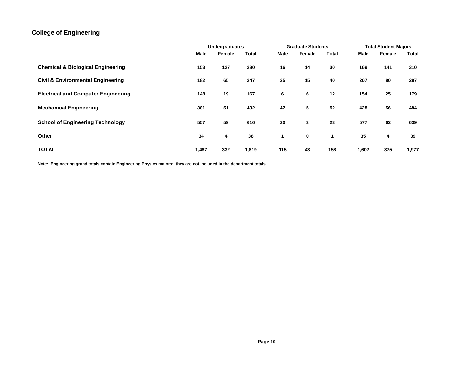### **College of Engineering**

|                                              | <b>Undergraduates</b> |        |       | <b>Graduate Students</b> |        |       | <b>Total Student Majors</b> |        |       |
|----------------------------------------------|-----------------------|--------|-------|--------------------------|--------|-------|-----------------------------|--------|-------|
|                                              | Male                  | Female | Total | Male                     | Female | Total | Male                        | Female | Total |
| <b>Chemical &amp; Biological Engineering</b> | 153                   | 127    | 280   | 16                       | 14     | 30    | 169                         | 141    | 310   |
| <b>Civil &amp; Environmental Engineering</b> | 182                   | 65     | 247   | 25                       | 15     | 40    | 207                         | 80     | 287   |
| <b>Electrical and Computer Engineering</b>   | 148                   | 19     | 167   | 6                        | 6      | 12    | 154                         | 25     | 179   |
| <b>Mechanical Engineering</b>                | 381                   | 51     | 432   | 47                       | 5      | 52    | 428                         | 56     | 484   |
| <b>School of Engineering Technology</b>      | 557                   | 59     | 616   | 20                       | 3      | 23    | 577                         | 62     | 639   |
| <b>Other</b>                                 | 34                    | 4      | 38    | 1                        | 0      | 1     | 35                          | 4      | 39    |
| <b>TOTAL</b>                                 | 1,487                 | 332    | 1,819 | 115                      | 43     | 158   | 1,602                       | 375    | 1,977 |

**Note: Engineering grand totals contain Engineering Physics majors; they are not included in the department totals.**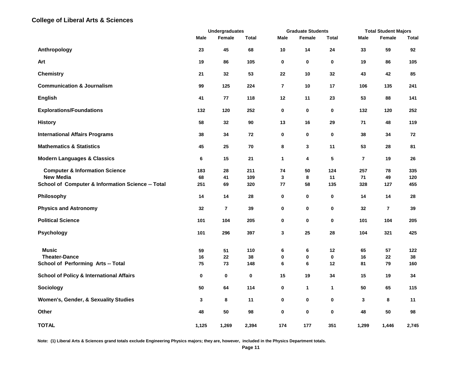#### **College of Liberal Arts & Sciences**

|                                                     |           | <b>Undergraduates</b> |              |                          | <b>Graduate Students</b> |              |                | <b>Total Student Majors</b> |            |  |
|-----------------------------------------------------|-----------|-----------------------|--------------|--------------------------|--------------------------|--------------|----------------|-----------------------------|------------|--|
|                                                     | Male      | Female                | <b>Total</b> | <b>Male</b>              | Female                   | Total        | Male           | Female                      | Total      |  |
| Anthropology                                        | 23        | 45                    | 68           | 10                       | 14                       | 24           | 33             | 59                          | 92         |  |
| Art                                                 | 19        | 86                    | 105          | 0                        | 0                        | 0            | 19             | 86                          | 105        |  |
| <b>Chemistry</b>                                    | 21        | 32                    | 53           | 22                       | 10                       | 32           | 43             | 42                          | 85         |  |
| <b>Communication &amp; Journalism</b>               | 99        | 125                   | 224          | $\overline{\phantom{a}}$ | 10                       | 17           | 106            | 135                         | 241        |  |
| <b>English</b>                                      | 41        | 77                    | 118          | 12                       | 11                       | 23           | 53             | 88                          | 141        |  |
| <b>Explorations/Foundations</b>                     | 132       | 120                   | 252          | 0                        | 0                        | $\bf{0}$     | 132            | 120                         | 252        |  |
| <b>History</b>                                      | 58        | 32                    | 90           | 13                       | 16                       | 29           | 71             | 48                          | 119        |  |
| <b>International Affairs Programs</b>               | 38        | 34                    | 72           | 0                        | 0                        | $\bf{0}$     | 38             | 34                          | 72         |  |
| <b>Mathematics &amp; Statistics</b>                 | 45        | 25                    | 70           | 8                        | 3                        | 11           | 53             | 28                          | 81         |  |
| <b>Modern Languages &amp; Classics</b>              | 6         | 15                    | 21           | 1                        | 4                        | 5            | $\overline{7}$ | 19                          | 26         |  |
| <b>Computer &amp; Information Science</b>           | 183       | 28                    | 211          | 74                       | 50                       | 124          | 257            | 78                          | 335        |  |
| <b>New Media</b>                                    | 68<br>251 | 41                    | 109          | 3                        | 8                        | 11           | 71             | 49                          | 120<br>455 |  |
| School of Computer & Information Science -- Total   |           | 69                    | 320          | 77                       | 58                       | 135          | 328            | 127                         |            |  |
| Philosophy                                          | 14        | 14                    | 28           | 0                        | 0                        | 0            | 14             | 14                          | 28         |  |
| <b>Physics and Astronomy</b>                        | 32        | $\overline{7}$        | 39           | 0                        | 0                        | 0            | 32             | $\overline{7}$              | 39         |  |
| <b>Political Science</b>                            | 101       | 104                   | 205          | 0                        | 0                        | $\mathbf 0$  | 101            | 104                         | 205        |  |
| <b>Psychology</b>                                   | 101       | 296                   | 397          | 3                        | 25                       | 28           | 104            | 321                         | 425        |  |
| <b>Music</b>                                        | 59        | 51                    | 110          | 6                        | 6                        | 12           | 65             | 57                          | 122        |  |
| <b>Theater-Dance</b>                                | 16        | 22                    | 38           | 0                        | 0                        | 0            | 16             | 22                          | 38         |  |
| School of Performing Arts -- Total                  | 75        | 73                    | 148          | 6                        | 6                        | 12           | 81             | 79                          | 160        |  |
| <b>School of Policy &amp; International Affairs</b> | 0         | 0                     | 0            | 15                       | 19                       | 34           | 15             | 19                          | 34         |  |
| Sociology                                           | 50        | 64                    | 114          | 0                        | 1                        | $\mathbf{1}$ | 50             | 65                          | 115        |  |
| Women's, Gender, & Sexuality Studies                | 3         | 8                     | 11           | 0                        | 0                        | 0            | 3              | 8                           | 11         |  |
| Other                                               | 48        | 50                    | 98           | 0                        | 0                        | 0            | 48             | 50                          | 98         |  |
| <b>TOTAL</b>                                        | 1,125     | 1,269                 | 2,394        | 174                      | 177                      | 351          | 1,299          | 1,446                       | 2,745      |  |

**Note: (1) Liberal Arts & Sciences grand totals exclude Engineering Physics majors; they are, however, included in the Physics Department totals.**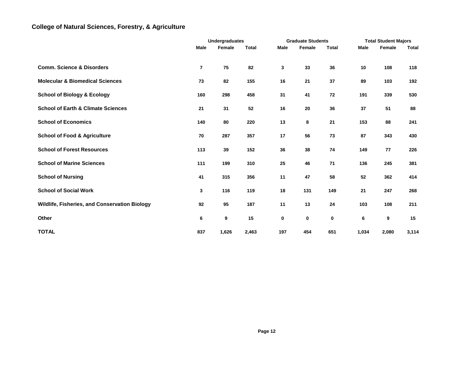### **College of Natural Sciences, Forestry, & Agriculture**

|                                               |                         | <b>Undergraduates</b> |              |             | <b>Graduate Students</b> |              |       | <b>Total Student Majors</b> |       |  |
|-----------------------------------------------|-------------------------|-----------------------|--------------|-------------|--------------------------|--------------|-------|-----------------------------|-------|--|
|                                               | Male                    | Female                | <b>Total</b> | <b>Male</b> | Female                   | <b>Total</b> | Male  | Female                      | Total |  |
| <b>Comm. Science &amp; Disorders</b>          | $\overline{\mathbf{r}}$ | 75                    | 82           | 3           | 33                       | 36           | 10    | 108                         | 118   |  |
| <b>Molecular &amp; Biomedical Sciences</b>    | 73                      | 82                    | 155          | 16          | 21                       | 37           | 89    | 103                         | 192   |  |
| <b>School of Biology &amp; Ecology</b>        | 160                     | 298                   | 458          | 31          | 41                       | 72           | 191   | 339                         | 530   |  |
| <b>School of Earth &amp; Climate Sciences</b> | 21                      | 31                    | 52           | 16          | 20                       | 36           | 37    | 51                          | 88    |  |
| <b>School of Economics</b>                    | 140                     | 80                    | 220          | 13          | 8                        | 21           | 153   | 88                          | 241   |  |
| <b>School of Food &amp; Agriculture</b>       | 70                      | 287                   | 357          | 17          | 56                       | 73           | 87    | 343                         | 430   |  |
| <b>School of Forest Resources</b>             | 113                     | 39                    | 152          | 36          | 38                       | 74           | 149   | 77                          | 226   |  |
| <b>School of Marine Sciences</b>              | 111                     | 199                   | 310          | 25          | 46                       | 71           | 136   | 245                         | 381   |  |
| <b>School of Nursing</b>                      | 41                      | 315                   | 356          | 11          | 47                       | 58           | 52    | 362                         | 414   |  |
| <b>School of Social Work</b>                  | 3                       | 116                   | 119          | 18          | 131                      | 149          | 21    | 247                         | 268   |  |
| Wildlife, Fisheries, and Conservation Biology | 92                      | 95                    | 187          | 11          | 13                       | 24           | 103   | 108                         | 211   |  |
| Other                                         | 6                       | 9                     | 15           | 0           | 0                        | 0            | 6     | 9                           | 15    |  |
| <b>TOTAL</b>                                  | 837                     | 1,626                 | 2,463        | 197         | 454                      | 651          | 1,034 | 2,080                       | 3,114 |  |